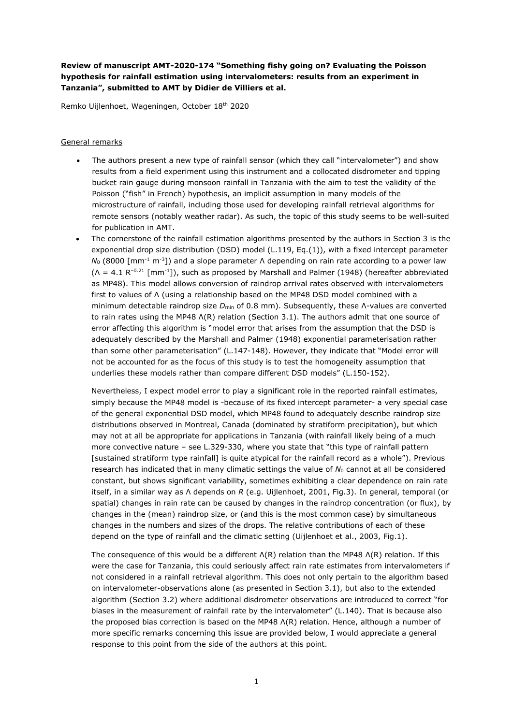## **Review of manuscript AMT-2020-174 "Something fishy going on? Evaluating the Poisson hypothesis for rainfall estimation using intervalometers: results from an experiment in Tanzania", submitted to AMT by Didier de Villiers et al.**

Remko Uijlenhoet, Wageningen, October 18 th 2020

## General remarks

- The authors present a new type of rainfall sensor (which they call "intervalometer") and show results from a field experiment using this instrument and a collocated disdrometer and tipping bucket rain gauge during monsoon rainfall in Tanzania with the aim to test the validity of the Poisson ("fish" in French) hypothesis, an implicit assumption in many models of the microstructure of rainfall, including those used for developing rainfall retrieval algorithms for remote sensors (notably weather radar). As such, the topic of this study seems to be well-suited for publication in AMT.
- The cornerstone of the rainfall estimation algorithms presented by the authors in Section 3 is the exponential drop size distribution (DSD) model (L.119, Eq.(1)), with a fixed intercept parameter *N*<sup>0</sup> (8000 [mm-1 m-3 ]) and a slope parameter Λ depending on rain rate according to a power law  $(\Lambda = 4.1 \text{ R}^{-0.21} \text{ [mm}^{-1}])$ , such as proposed by Marshall and Palmer (1948) (hereafter abbreviated as MP48). This model allows conversion of raindrop arrival rates observed with intervalometers first to values of Λ (using a relationship based on the MP48 DSD model combined with a minimum detectable raindrop size *D*min of 0.8 mm). Subsequently, these Λ-values are converted to rain rates using the MP48 Λ(R) relation (Section 3.1). The authors admit that one source of error affecting this algorithm is "model error that arises from the assumption that the DSD is adequately described by the Marshall and Palmer (1948) exponential parameterisation rather than some other parameterisation" (L.147-148). However, they indicate that "Model error will not be accounted for as the focus of this study is to test the homogeneity assumption that underlies these models rather than compare different DSD models" (L.150-152).

Nevertheless, I expect model error to play a significant role in the reported rainfall estimates, simply because the MP48 model is -because of its fixed intercept parameter- a very special case of the general exponential DSD model, which MP48 found to adequately describe raindrop size distributions observed in Montreal, Canada (dominated by stratiform precipitation), but which may not at all be appropriate for applications in Tanzania (with rainfall likely being of a much more convective nature – see L.329-330, where you state that "this type of rainfall pattern [sustained stratiform type rainfall] is quite atypical for the rainfall record as a whole"). Previous research has indicated that in many climatic settings the value of *N*<sup>0</sup> cannot at all be considered constant, but shows significant variability, sometimes exhibiting a clear dependence on rain rate itself, in a similar way as Λ depends on *R* (e.g. Uijlenhoet, 2001, Fig.3). In general, temporal (or spatial) changes in rain rate can be caused by changes in the raindrop concentration (or flux), by changes in the (mean) raindrop size, or (and this is the most common case) by simultaneous changes in the numbers and sizes of the drops. The relative contributions of each of these depend on the type of rainfall and the climatic setting (Uijlenhoet et al., 2003, Fig.1).

The consequence of this would be a different  $\Lambda(R)$  relation than the MP48  $\Lambda(R)$  relation. If this were the case for Tanzania, this could seriously affect rain rate estimates from intervalometers if not considered in a rainfall retrieval algorithm. This does not only pertain to the algorithm based on intervalometer-observations alone (as presented in Section 3.1), but also to the extended algorithm (Section 3.2) where additional disdrometer observations are introduced to correct "for biases in the measurement of rainfall rate by the intervalometer" (L.140). That is because also the proposed bias correction is based on the MP48 Λ(R) relation. Hence, although a number of more specific remarks concerning this issue are provided below, I would appreciate a general response to this point from the side of the authors at this point.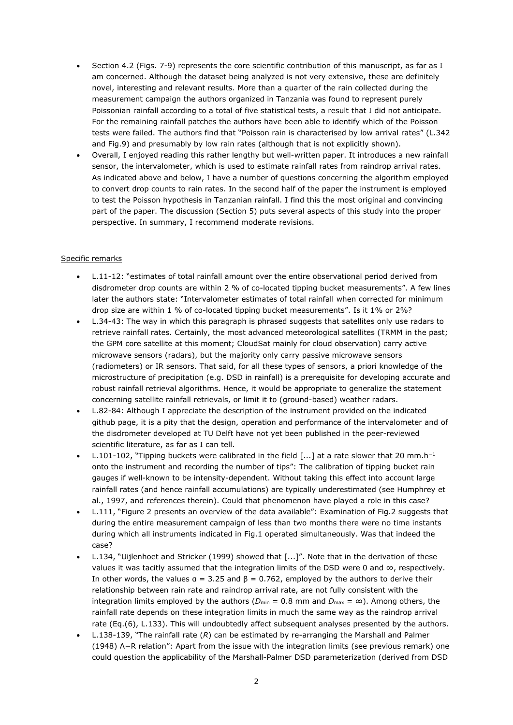- Section 4.2 (Figs. 7-9) represents the core scientific contribution of this manuscript, as far as I am concerned. Although the dataset being analyzed is not very extensive, these are definitely novel, interesting and relevant results. More than a quarter of the rain collected during the measurement campaign the authors organized in Tanzania was found to represent purely Poissonian rainfall according to a total of five statistical tests, a result that I did not anticipate. For the remaining rainfall patches the authors have been able to identify which of the Poisson tests were failed. The authors find that "Poisson rain is characterised by low arrival rates" (L.342 and Fig.9) and presumably by low rain rates (although that is not explicitly shown).
- Overall, I enjoyed reading this rather lengthy but well-written paper. It introduces a new rainfall sensor, the intervalometer, which is used to estimate rainfall rates from raindrop arrival rates. As indicated above and below, I have a number of questions concerning the algorithm employed to convert drop counts to rain rates. In the second half of the paper the instrument is employed to test the Poisson hypothesis in Tanzanian rainfall. I find this the most original and convincing part of the paper. The discussion (Section 5) puts several aspects of this study into the proper perspective. In summary, I recommend moderate revisions.

## Specific remarks

- L.11-12: "estimates of total rainfall amount over the entire observational period derived from disdrometer drop counts are within 2 % of co-located tipping bucket measurements". A few lines later the authors state: "Intervalometer estimates of total rainfall when corrected for minimum drop size are within 1 % of co-located tipping bucket measurements". Is it 1% or 2%?
- L.34-43: The way in which this paragraph is phrased suggests that satellites only use radars to retrieve rainfall rates. Certainly, the most advanced meteorological satellites (TRMM in the past; the GPM core satellite at this moment; CloudSat mainly for cloud observation) carry active microwave sensors (radars), but the majority only carry passive microwave sensors (radiometers) or IR sensors. That said, for all these types of sensors, a priori knowledge of the microstructure of precipitation (e.g. DSD in rainfall) is a prerequisite for developing accurate and robust rainfall retrieval algorithms. Hence, it would be appropriate to generalize the statement concerning satellite rainfall retrievals, or limit it to (ground-based) weather radars.
- L.82-84: Although I appreciate the description of the instrument provided on the indicated github page, it is a pity that the design, operation and performance of the intervalometer and of the disdrometer developed at TU Delft have not yet been published in the peer-reviewed scientific literature, as far as I can tell.
- L.101-102, "Tipping buckets were calibrated in the field [...] at a rate slower that 20 mm.h<sup>−</sup><sup>1</sup> onto the instrument and recording the number of tips": The calibration of tipping bucket rain gauges if well-known to be intensity-dependent. Without taking this effect into account large rainfall rates (and hence rainfall accumulations) are typically underestimated (see Humphrey et al., 1997, and references therein). Could that phenomenon have played a role in this case?
- L.111, "Figure 2 presents an overview of the data available": Examination of Fig.2 suggests that during the entire measurement campaign of less than two months there were no time instants during which all instruments indicated in Fig.1 operated simultaneously. Was that indeed the case?
- L.134, "Uijlenhoet and Stricker (1999) showed that [...]". Note that in the derivation of these values it was tacitly assumed that the integration limits of the DSD were 0 and  $\infty$ , respectively. In other words, the values  $a = 3.25$  and  $\beta = 0.762$ , employed by the authors to derive their relationship between rain rate and raindrop arrival rate, are not fully consistent with the integration limits employed by the authors ( $D_{min} = 0.8$  mm and  $D_{max} = \infty$ ). Among others, the rainfall rate depends on these integration limits in much the same way as the raindrop arrival rate (Eq.(6), L.133). This will undoubtedly affect subsequent analyses presented by the authors.
- L.138-139, "The rainfall rate (*R*) can be estimated by re-arranging the Marshall and Palmer (1948) Λ−R relation": Apart from the issue with the integration limits (see previous remark) one could question the applicability of the Marshall-Palmer DSD parameterization (derived from DSD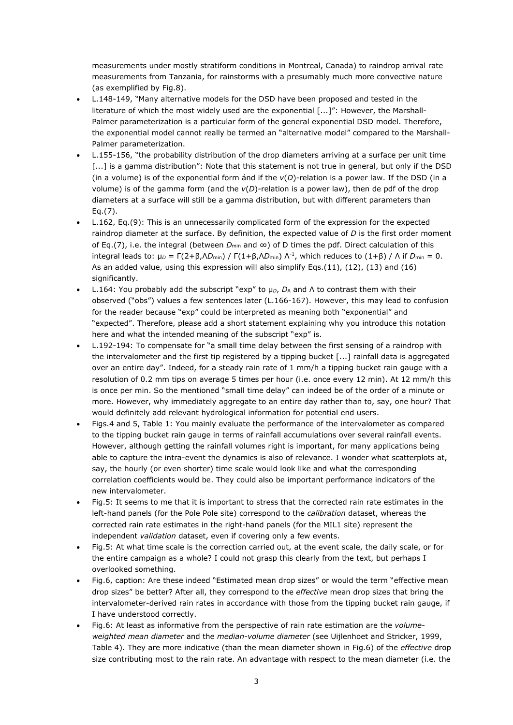measurements under mostly stratiform conditions in Montreal, Canada) to raindrop arrival rate measurements from Tanzania, for rainstorms with a presumably much more convective nature (as exemplified by Fig.8).

- L.148-149, "Many alternative models for the DSD have been proposed and tested in the literature of which the most widely used are the exponential [...]": However, the Marshall-Palmer parameterization is a particular form of the general exponential DSD model. Therefore, the exponential model cannot really be termed an "alternative model" compared to the Marshall-Palmer parameterization.
- L.155-156, "the probability distribution of the drop diameters arriving at a surface per unit time [...] is a gamma distribution": Note that this statement is not true in general, but only if the DSD (in a volume) is of the exponential form ánd if the *v*(*D*)-relation is a power law. If the DSD (in a volume) is of the gamma form (and the *v*(*D*)-relation is a power law), then de pdf of the drop diameters at a surface will still be a gamma distribution, but with different parameters than Eq.(7).
- L.162, Eq.(9): This is an unnecessarily complicated form of the expression for the expected raindrop diameter at the surface. By definition, the expected value of *D* is the first order moment of Eq.(7), i.e. the integral (between *D*min and ∞) of D times the pdf. Direct calculation of this integral leads to:  $\mu_D = \Gamma(2 + \beta, \Lambda D_{min}) / \Gamma(1 + \beta, \Lambda D_{min}) \Lambda^{-1}$ , which reduces to (1+β) / Λ if  $D_{min} = 0$ . As an added value, using this expression will also simplify Eqs.(11), (12), (13) and (16) significantly.
- L.164: You probably add the subscript "exp" to  $\mu$ <sub>*p*</sub>,  $D$ <sub>A</sub> and Λ to contrast them with their observed ("obs") values a few sentences later (L.166-167). However, this may lead to confusion for the reader because "exp" could be interpreted as meaning both "exponential" and "expected". Therefore, please add a short statement explaining why you introduce this notation here and what the intended meaning of the subscript "exp" is.
- L.192-194: To compensate for "a small time delay between the first sensing of a raindrop with the intervalometer and the first tip registered by a tipping bucket [...] rainfall data is aggregated over an entire day". Indeed, for a steady rain rate of 1 mm/h a tipping bucket rain gauge with a resolution of 0.2 mm tips on average 5 times per hour (i.e. once every 12 min). At 12 mm/h this is once per min. So the mentioned "small time delay" can indeed be of the order of a minute or more. However, why immediately aggregate to an entire day rather than to, say, one hour? That would definitely add relevant hydrological information for potential end users.
- Figs.4 and 5, Table 1: You mainly evaluate the performance of the intervalometer as compared to the tipping bucket rain gauge in terms of rainfall accumulations over several rainfall events. However, although getting the rainfall volumes right is important, for many applications being able to capture the intra-event the dynamics is also of relevance. I wonder what scatterplots at, say, the hourly (or even shorter) time scale would look like and what the corresponding correlation coefficients would be. They could also be important performance indicators of the new intervalometer.
- Fig.5: It seems to me that it is important to stress that the corrected rain rate estimates in the left-hand panels (for the Pole Pole site) correspond to the *calibration* dataset, whereas the corrected rain rate estimates in the right-hand panels (for the MIL1 site) represent the independent *validation* dataset, even if covering only a few events.
- Fig.5: At what time scale is the correction carried out, at the event scale, the daily scale, or for the entire campaign as a whole? I could not grasp this clearly from the text, but perhaps I overlooked something.
- Fig.6, caption: Are these indeed "Estimated mean drop sizes" or would the term "effective mean drop sizes" be better? After all, they correspond to the *effective* mean drop sizes that bring the intervalometer-derived rain rates in accordance with those from the tipping bucket rain gauge, if I have understood correctly.
- Fig.6: At least as informative from the perspective of rain rate estimation are the *volumeweighted mean diameter* and the *median-volume diameter* (see Uijlenhoet and Stricker, 1999, Table 4). They are more indicative (than the mean diameter shown in Fig.6) of the *effective* drop size contributing most to the rain rate. An advantage with respect to the mean diameter (i.e. the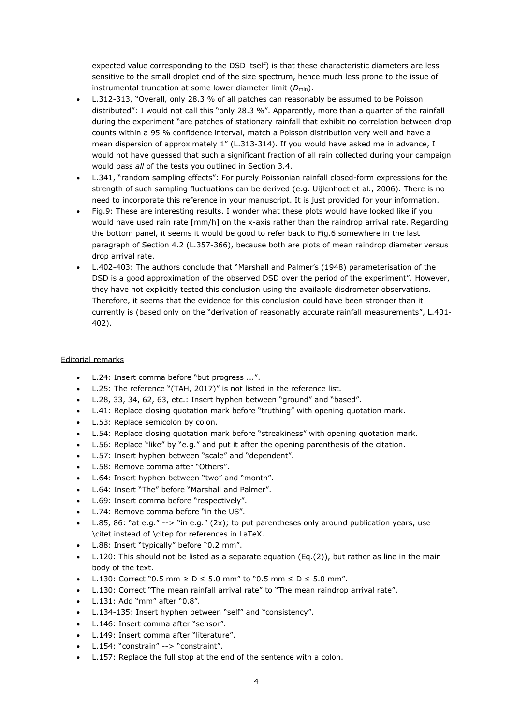expected value corresponding to the DSD itself) is that these characteristic diameters are less sensitive to the small droplet end of the size spectrum, hence much less prone to the issue of instrumental truncation at some lower diameter limit (D<sub>min</sub>).

- L.312-313, "Overall, only 28.3 % of all patches can reasonably be assumed to be Poisson distributed": I would not call this "only 28.3 %". Apparently, more than a quarter of the rainfall during the experiment "are patches of stationary rainfall that exhibit no correlation between drop counts within a 95 % confidence interval, match a Poisson distribution very well and have a mean dispersion of approximately 1" (L.313-314). If you would have asked me in advance, I would not have guessed that such a significant fraction of all rain collected during your campaign would pass *all* of the tests you outlined in Section 3.4.
- L.341, "random sampling effects": For purely Poissonian rainfall closed-form expressions for the strength of such sampling fluctuations can be derived (e.g. Uijlenhoet et al., 2006). There is no need to incorporate this reference in your manuscript. It is just provided for your information.
- Fig.9: These are interesting results. I wonder what these plots would have looked like if you would have used rain rate [mm/h] on the x-axis rather than the raindrop arrival rate. Regarding the bottom panel, it seems it would be good to refer back to Fig.6 somewhere in the last paragraph of Section 4.2 (L.357-366), because both are plots of mean raindrop diameter versus drop arrival rate.
- L.402-403: The authors conclude that "Marshall and Palmer's (1948) parameterisation of the DSD is a good approximation of the observed DSD over the period of the experiment". However, they have not explicitly tested this conclusion using the available disdrometer observations. Therefore, it seems that the evidence for this conclusion could have been stronger than it currently is (based only on the "derivation of reasonably accurate rainfall measurements", L.401- 402).

## Editorial remarks

- L.24: Insert comma before "but progress ...".
- L.25: The reference "(TAH, 2017)" is not listed in the reference list.
- L.28, 33, 34, 62, 63, etc.: Insert hyphen between "ground" and "based".
- L.41: Replace closing quotation mark before "truthing" with opening quotation mark.
- L.53: Replace semicolon by colon.
- L.54: Replace closing quotation mark before "streakiness" with opening quotation mark.
- L.56: Replace "like" by "e.g." and put it after the opening parenthesis of the citation.
- L.57: Insert hyphen between "scale" and "dependent".
- L.58: Remove comma after "Others".
- L.64: Insert hyphen between "two" and "month".
- L.64: Insert "The" before "Marshall and Palmer".
- L.69: Insert comma before "respectively".
- L.74: Remove comma before "in the US".
- L.85, 86: "at e.g." --> "in e.g." (2x); to put parentheses only around publication years, use \citet instead of \citep for references in LaTeX.
- L.88: Insert "typically" before "0.2 mm".
- L.120: This should not be listed as a separate equation  $(Eq.(2))$ , but rather as line in the main body of the text.
- L.130: Correct "0.5 mm ≥ D ≤ 5.0 mm" to "0.5 mm ≤ D ≤ 5.0 mm".
- L.130: Correct "The mean rainfall arrival rate" to "The mean raindrop arrival rate".
- L.131: Add "mm" after "0.8".
- L.134-135: Insert hyphen between "self" and "consistency".
- L.146: Insert comma after "sensor".
- L.149: Insert comma after "literature".
- L.154: "constrain" --> "constraint".
- L.157: Replace the full stop at the end of the sentence with a colon.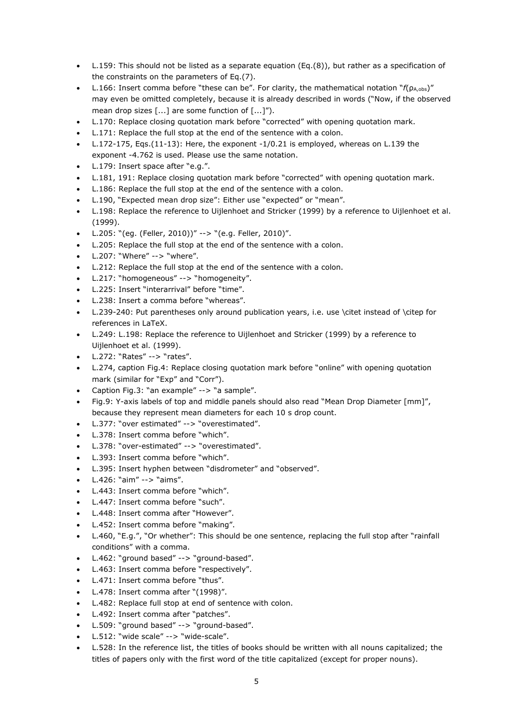- L.159: This should not be listed as a separate equation (Eq.(8)), but rather as a specification of the constraints on the parameters of Eq.(7).
- L.166: Insert comma before "these can be". For clarity, the mathematical notation " $f(p_{A,obs})''$ may even be omitted completely, because it is already described in words ("Now, if the observed mean drop sizes [...] are some function of [...]").
- L.170: Replace closing quotation mark before "corrected" with opening quotation mark.
- L.171: Replace the full stop at the end of the sentence with a colon.
- L.172-175, Eqs.(11-13): Here, the exponent -1/0.21 is employed, whereas on L.139 the exponent -4.762 is used. Please use the same notation.
- L.179: Insert space after "e.g.".
- L.181, 191: Replace closing quotation mark before "corrected" with opening quotation mark.
- L.186: Replace the full stop at the end of the sentence with a colon.
- L.190, "Expected mean drop size": Either use "expected" or "mean".
- L.198: Replace the reference to Uijlenhoet and Stricker (1999) by a reference to Uijlenhoet et al. (1999).
- L.205: "(eg. (Feller, 2010))" --> "(e.g. Feller, 2010)".
- L.205: Replace the full stop at the end of the sentence with a colon.
- L.207: "Where" --> "where".
- L.212: Replace the full stop at the end of the sentence with a colon.
- L.217: "homogeneous" --> "homogeneity".
- L.225: Insert "interarrival" before "time".
- L.238: Insert a comma before "whereas".
- L.239-240: Put parentheses only around publication years, i.e. use \citet instead of \citep for references in LaTeX.
- L.249: L.198: Replace the reference to Uijlenhoet and Stricker (1999) by a reference to Uijlenhoet et al. (1999).
- L.272: "Rates" --> "rates".
- L.274, caption Fig.4: Replace closing quotation mark before "online" with opening quotation mark (similar for "Exp" and "Corr").
- Caption Fig.3: "an example" --> "a sample".
- Fig.9: Y-axis labels of top and middle panels should also read "Mean Drop Diameter [mm]", because they represent mean diameters for each 10 s drop count.
- L.377: "over estimated" --> "overestimated".
- L.378: Insert comma before "which".
- L.378: "over-estimated" --> "overestimated".
- L.393: Insert comma before "which".
- L.395: Insert hyphen between "disdrometer" and "observed".
- L.426: "aim" --> "aims".
- L.443: Insert comma before "which".
- L.447: Insert comma before "such".
- L.448: Insert comma after "However".
- L.452: Insert comma before "making".
- L.460, "E.g.", "Or whether": This should be one sentence, replacing the full stop after "rainfall conditions" with a comma.
- L.462: "ground based" --> "ground-based".
- L.463: Insert comma before "respectively".
- L.471: Insert comma before "thus".
- L.478: Insert comma after "(1998)".
- L.482: Replace full stop at end of sentence with colon.
- L.492: Insert comma after "patches".
- L.509: "ground based" --> "ground-based".
- L.512: "wide scale" --> "wide-scale".
- L.528: In the reference list, the titles of books should be written with all nouns capitalized; the titles of papers only with the first word of the title capitalized (except for proper nouns).